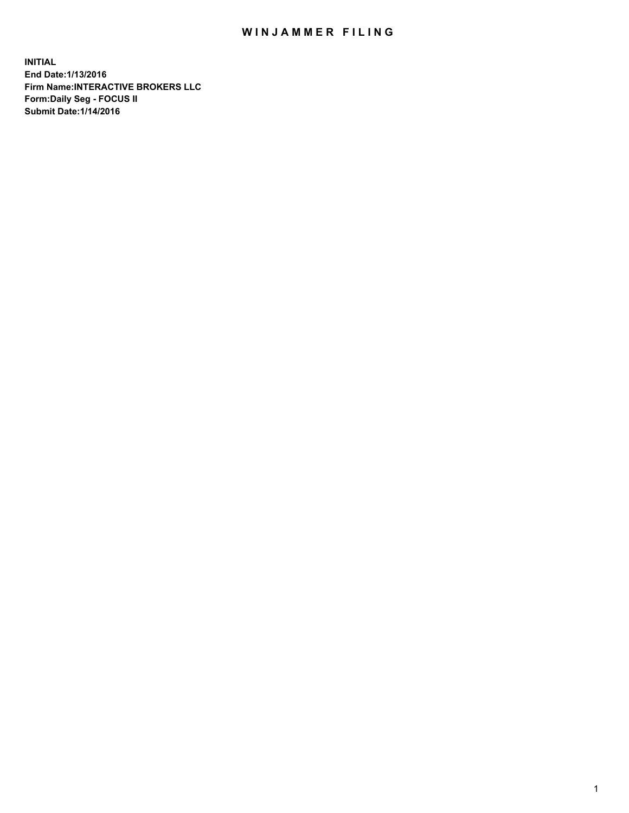## WIN JAMMER FILING

**INITIAL End Date:1/13/2016 Firm Name:INTERACTIVE BROKERS LLC Form:Daily Seg - FOCUS II Submit Date:1/14/2016**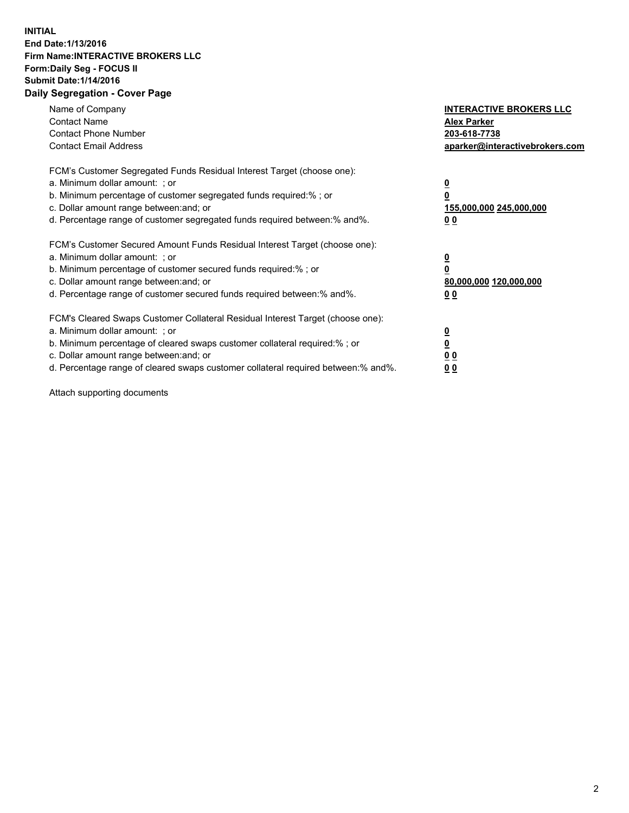## **INITIAL End Date:1/13/2016 Firm Name:INTERACTIVE BROKERS LLC Form:Daily Seg - FOCUS II Submit Date:1/14/2016 Daily Segregation - Cover Page**

| Name of Company<br><b>Contact Name</b><br><b>Contact Phone Number</b><br><b>Contact Email Address</b>                                                                                                                                                                                                                          | <b>INTERACTIVE BROKERS LLC</b><br><b>Alex Parker</b><br>203-618-7738<br>aparker@interactivebrokers.com |
|--------------------------------------------------------------------------------------------------------------------------------------------------------------------------------------------------------------------------------------------------------------------------------------------------------------------------------|--------------------------------------------------------------------------------------------------------|
| FCM's Customer Segregated Funds Residual Interest Target (choose one):<br>a. Minimum dollar amount: ; or<br>b. Minimum percentage of customer segregated funds required:% ; or<br>c. Dollar amount range between: and; or<br>d. Percentage range of customer segregated funds required between:% and%.                         | <u>0</u><br>155,000,000 245,000,000<br><u>00</u>                                                       |
| FCM's Customer Secured Amount Funds Residual Interest Target (choose one):<br>a. Minimum dollar amount: ; or<br>b. Minimum percentage of customer secured funds required:% ; or<br>c. Dollar amount range between: and; or<br>d. Percentage range of customer secured funds required between:% and%.                           | <u>0</u><br>80,000,000 120,000,000<br>0 <sub>0</sub>                                                   |
| FCM's Cleared Swaps Customer Collateral Residual Interest Target (choose one):<br>a. Minimum dollar amount: ; or<br>b. Minimum percentage of cleared swaps customer collateral required:% ; or<br>c. Dollar amount range between: and; or<br>d. Percentage range of cleared swaps customer collateral required between:% and%. | <u>0</u><br>0 <sub>0</sub><br>0 <sub>0</sub>                                                           |

Attach supporting documents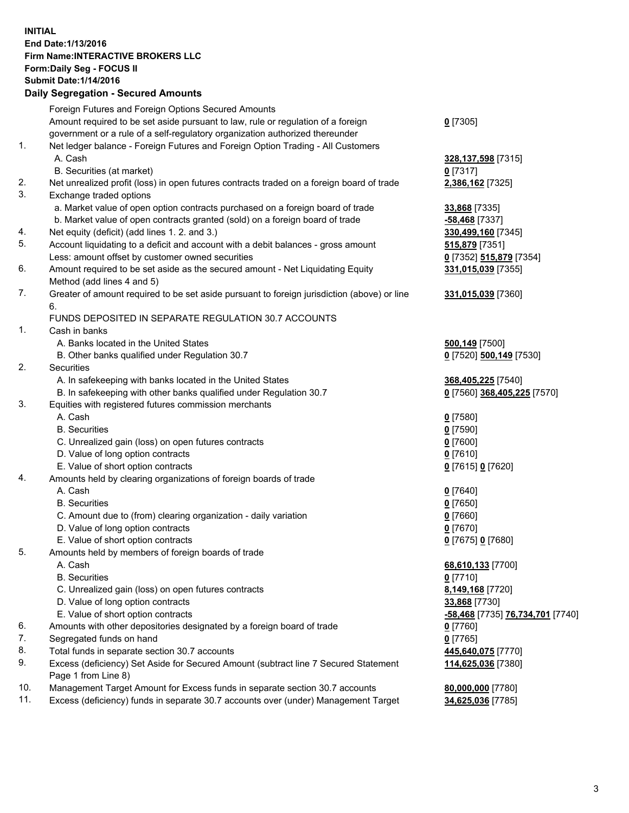## **INITIAL End Date:1/13/2016 Firm Name:INTERACTIVE BROKERS LLC Form:Daily Seg - FOCUS II Submit Date:1/14/2016 Daily Segregation - Secured Amounts**

|     | Daily Ocglegation - Occuled Amounts                                                                        |                                  |
|-----|------------------------------------------------------------------------------------------------------------|----------------------------------|
|     | Foreign Futures and Foreign Options Secured Amounts                                                        |                                  |
|     | Amount required to be set aside pursuant to law, rule or regulation of a foreign                           | $0$ [7305]                       |
|     | government or a rule of a self-regulatory organization authorized thereunder                               |                                  |
| 1.  | Net ledger balance - Foreign Futures and Foreign Option Trading - All Customers                            |                                  |
|     | A. Cash                                                                                                    | 328, 137, 598 [7315]             |
|     | B. Securities (at market)                                                                                  | $0$ [7317]                       |
| 2.  | Net unrealized profit (loss) in open futures contracts traded on a foreign board of trade                  | 2,386,162 [7325]                 |
| 3.  | Exchange traded options                                                                                    |                                  |
|     | a. Market value of open option contracts purchased on a foreign board of trade                             | 33,868 [7335]                    |
|     | b. Market value of open contracts granted (sold) on a foreign board of trade                               | $-58,468$ [7337]                 |
| 4.  | Net equity (deficit) (add lines 1. 2. and 3.)                                                              | 330,499,160 [7345]               |
| 5.  | Account liquidating to a deficit and account with a debit balances - gross amount                          | <b>515,879</b> [7351]            |
|     | Less: amount offset by customer owned securities                                                           | 0 [7352] 515,879 [7354]          |
| 6.  | Amount required to be set aside as the secured amount - Net Liquidating Equity                             | 331,015,039 [7355]               |
|     | Method (add lines 4 and 5)                                                                                 |                                  |
| 7.  | Greater of amount required to be set aside pursuant to foreign jurisdiction (above) or line                | 331,015,039 [7360]               |
|     | 6.                                                                                                         |                                  |
|     | FUNDS DEPOSITED IN SEPARATE REGULATION 30.7 ACCOUNTS                                                       |                                  |
| 1.  | Cash in banks                                                                                              |                                  |
|     | A. Banks located in the United States                                                                      | 500,149 [7500]                   |
|     | B. Other banks qualified under Regulation 30.7                                                             | 0 [7520] 500,149 [7530]          |
| 2.  | Securities                                                                                                 |                                  |
|     | A. In safekeeping with banks located in the United States                                                  | 368,405,225 [7540]               |
|     | B. In safekeeping with other banks qualified under Regulation 30.7                                         | 0 [7560] 368,405,225 [7570]      |
| 3.  | Equities with registered futures commission merchants                                                      |                                  |
|     | A. Cash                                                                                                    | $0$ [7580]                       |
|     | <b>B.</b> Securities                                                                                       | $0$ [7590]                       |
|     | C. Unrealized gain (loss) on open futures contracts                                                        | $0$ [7600]                       |
|     | D. Value of long option contracts                                                                          | $0$ [7610]                       |
|     | E. Value of short option contracts                                                                         | 0 [7615] 0 [7620]                |
| 4.  | Amounts held by clearing organizations of foreign boards of trade                                          |                                  |
|     | A. Cash                                                                                                    | $0$ [7640]                       |
|     | <b>B.</b> Securities                                                                                       | $0$ [7650]                       |
|     | C. Amount due to (from) clearing organization - daily variation                                            | $0$ [7660]                       |
|     | D. Value of long option contracts                                                                          | $0$ [7670]                       |
|     | E. Value of short option contracts                                                                         | 0 [7675] 0 [7680]                |
| 5.  | Amounts held by members of foreign boards of trade                                                         |                                  |
|     | A. Cash                                                                                                    | 68,610,133 [7700]                |
|     | <b>B.</b> Securities                                                                                       | $0$ [7710]                       |
|     | C. Unrealized gain (loss) on open futures contracts                                                        | 8,149,168 [7720]                 |
|     | D. Value of long option contracts                                                                          | 33,868 [7730]                    |
|     | E. Value of short option contracts                                                                         | -58,468 [7735] 76,734,701 [7740] |
| 6.  | Amounts with other depositories designated by a foreign board of trade                                     | 0 [7760]                         |
| 7.  | Segregated funds on hand                                                                                   | $0$ [7765]                       |
| 8.  | Total funds in separate section 30.7 accounts                                                              | 445,640,075 [7770]               |
| 9.  | Excess (deficiency) Set Aside for Secured Amount (subtract line 7 Secured Statement<br>Page 1 from Line 8) | 114,625,036 [7380]               |
| 10. | Management Target Amount for Excess funds in separate section 30.7 accounts                                | 80,000,000 [7780]                |
| 11. | Excess (deficiency) funds in separate 30.7 accounts over (under) Management Target                         | 34,625,036 [7785]                |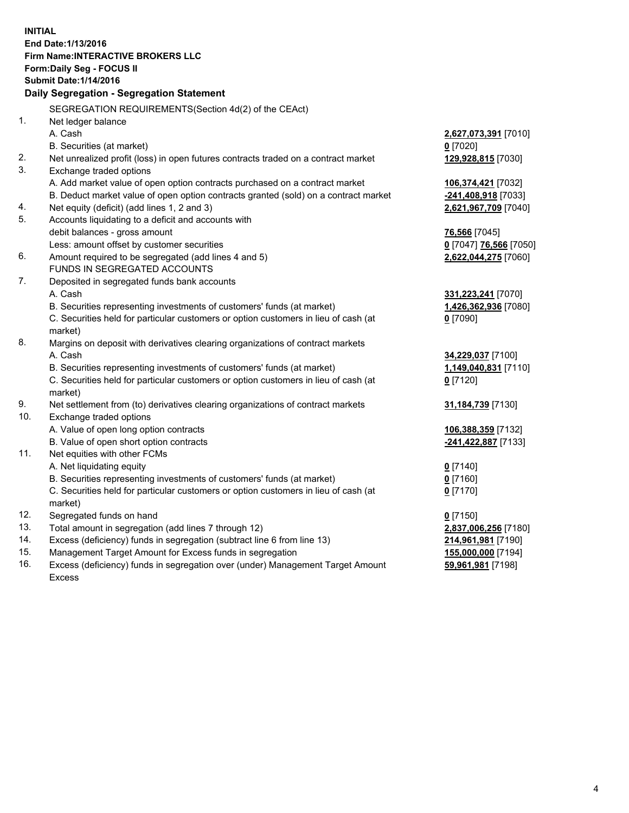**INITIAL End Date:1/13/2016 Firm Name:INTERACTIVE BROKERS LLC Form:Daily Seg - FOCUS II Submit Date:1/14/2016 Daily Segregation - Segregation Statement** SEGREGATION REQUIREMENTS(Section 4d(2) of the CEAct) 1. Net ledger balance A. Cash **2,627,073,391** [7010] B. Securities (at market) **0** [7020] 2. Net unrealized profit (loss) in open futures contracts traded on a contract market **129,928,815** [7030] 3. Exchange traded options A. Add market value of open option contracts purchased on a contract market **106,374,421** [7032] B. Deduct market value of open option contracts granted (sold) on a contract market **-241,408,918** [7033] 4. Net equity (deficit) (add lines 1, 2 and 3) **2,621,967,709** [7040] 5. Accounts liquidating to a deficit and accounts with debit balances - gross amount **76,566** [7045] Less: amount offset by customer securities **0** [7047] **76,566** [7050] 6. Amount required to be segregated (add lines 4 and 5) **2,622,044,275** [7060] FUNDS IN SEGREGATED ACCOUNTS 7. Deposited in segregated funds bank accounts A. Cash **331,223,241** [7070] B. Securities representing investments of customers' funds (at market) **1,426,362,936** [7080] C. Securities held for particular customers or option customers in lieu of cash (at market) **0** [7090] 8. Margins on deposit with derivatives clearing organizations of contract markets A. Cash **34,229,037** [7100] B. Securities representing investments of customers' funds (at market) **1,149,040,831** [7110] C. Securities held for particular customers or option customers in lieu of cash (at market) **0** [7120] 9. Net settlement from (to) derivatives clearing organizations of contract markets **31,184,739** [7130] 10. Exchange traded options A. Value of open long option contracts **106,388,359** [7132] B. Value of open short option contracts **-241,422,887** [7133] 11. Net equities with other FCMs A. Net liquidating equity **0** [7140] B. Securities representing investments of customers' funds (at market) **0** [7160] C. Securities held for particular customers or option customers in lieu of cash (at market) **0** [7170] 12. Segregated funds on hand **0** [7150] 13. Total amount in segregation (add lines 7 through 12) **2,837,006,256** [7180] 14. Excess (deficiency) funds in segregation (subtract line 6 from line 13) **214,961,981** [7190] 15. Management Target Amount for Excess funds in segregation **155,000,000** [7194] **59,961,981** [7198]

16. Excess (deficiency) funds in segregation over (under) Management Target Amount Excess